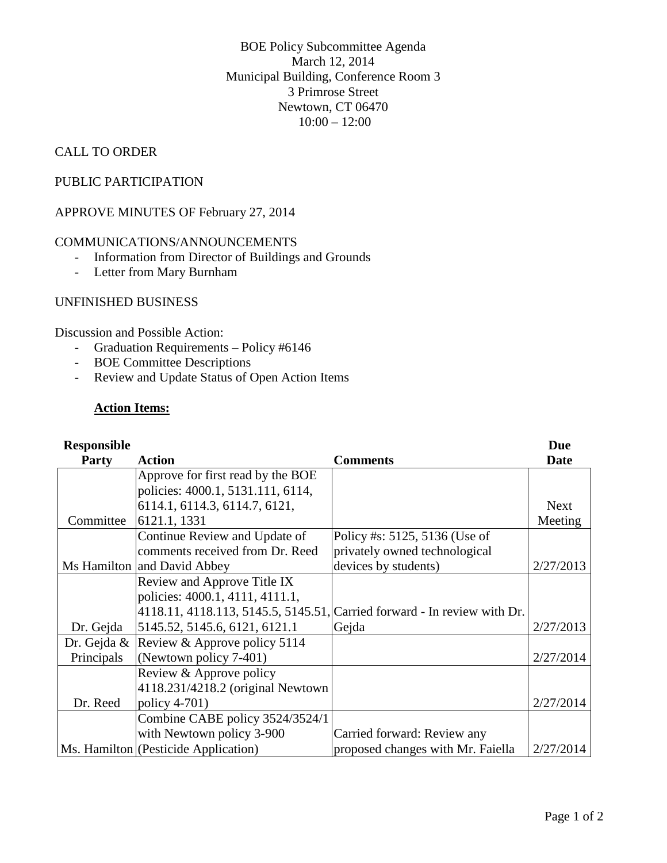BOE Policy Subcommittee Agenda March 12, 2014 Municipal Building, Conference Room 3 3 Primrose Street Newtown, CT 06470  $10:00 - 12:00$ 

## CALL TO ORDER

## PUBLIC PARTICIPATION

APPROVE MINUTES OF February 27, 2014

#### COMMUNICATIONS/ANNOUNCEMENTS

- Information from Director of Buildings and Grounds
- Letter from Mary Burnham

## UNFINISHED BUSINESS

Discussion and Possible Action:

- Graduation Requirements Policy #6146
- BOE Committee Descriptions
- Review and Update Status of Open Action Items

#### **Action Items:**

| <b>Responsible</b> |                                                                          |                                   | <b>Due</b>  |
|--------------------|--------------------------------------------------------------------------|-----------------------------------|-------------|
| <b>Party</b>       | <b>Action</b>                                                            | <b>Comments</b>                   | <b>Date</b> |
|                    | Approve for first read by the BOE                                        |                                   |             |
|                    | policies: 4000.1, 5131.111, 6114,                                        |                                   |             |
|                    | 6114.1, 6114.3, 6114.7, 6121,                                            |                                   | <b>Next</b> |
| Committee          | 6121.1, 1331                                                             |                                   | Meeting     |
|                    | Continue Review and Update of                                            | Policy #s: 5125, 5136 (Use of     |             |
|                    | comments received from Dr. Reed                                          | privately owned technological     |             |
|                    | Ms Hamilton and David Abbey                                              | devices by students)              | 2/27/2013   |
|                    | Review and Approve Title IX                                              |                                   |             |
|                    | policies: 4000.1, 4111, 4111.1,                                          |                                   |             |
|                    | 4118.11, 4118.113, 5145.5, 5145.51, Carried forward - In review with Dr. |                                   |             |
| Dr. Gejda          | 5145.52, 5145.6, 6121, 6121.1                                            | Gejda                             | 2/27/2013   |
| Dr. Gejda $\&$     | Review & Approve policy 5114                                             |                                   |             |
| Principals         | (Newtown policy 7-401)                                                   |                                   | 2/27/2014   |
|                    | Review & Approve policy                                                  |                                   |             |
|                    | 4118.231/4218.2 (original Newtown                                        |                                   |             |
| Dr. Reed           | policy $4-701$ )                                                         |                                   | 2/27/2014   |
|                    | Combine CABE policy 3524/3524/1                                          |                                   |             |
|                    | with Newtown policy 3-900                                                | Carried forward: Review any       |             |
|                    | Ms. Hamilton (Pesticide Application)                                     | proposed changes with Mr. Faiella | 2/27/2014   |